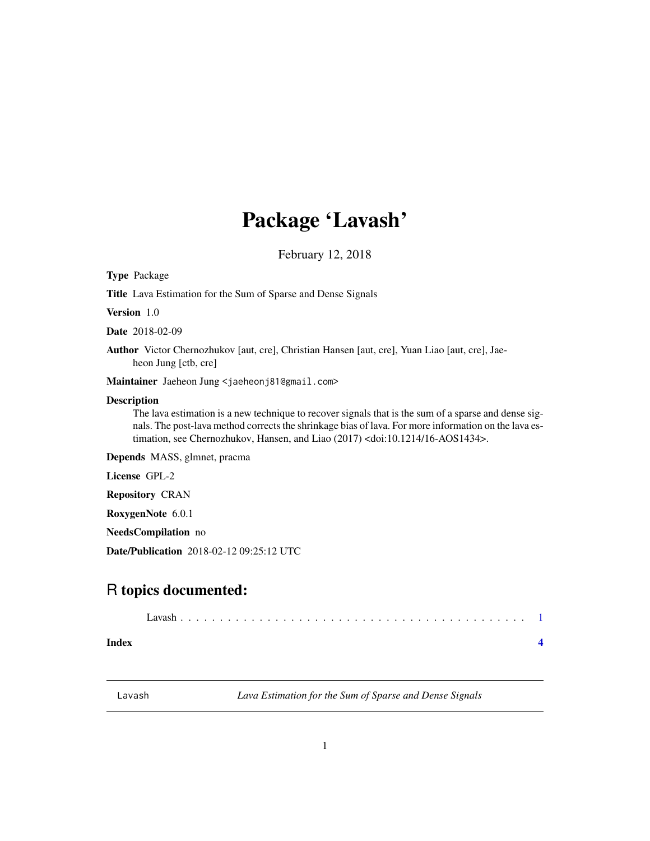# <span id="page-0-0"></span>Package 'Lavash'

February 12, 2018

Type Package

Title Lava Estimation for the Sum of Sparse and Dense Signals

Version 1.0

Date 2018-02-09

Author Victor Chernozhukov [aut, cre], Christian Hansen [aut, cre], Yuan Liao [aut, cre], Jaeheon Jung [ctb, cre]

Maintainer Jaeheon Jung <jaeheonj81@gmail.com>

#### Description

The lava estimation is a new technique to recover signals that is the sum of a sparse and dense signals. The post-lava method corrects the shrinkage bias of lava. For more information on the lava estimation, see Chernozhukov, Hansen, and Liao (2017) <doi:10.1214/16-AOS1434>.

Depends MASS, glmnet, pracma

License GPL-2

Repository CRAN

RoxygenNote 6.0.1

NeedsCompilation no

Date/Publication 2018-02-12 09:25:12 UTC

## R topics documented:

|--|--|

**Index** [4](#page-3-0)

Lavash *Lava Estimation for the Sum of Sparse and Dense Signals*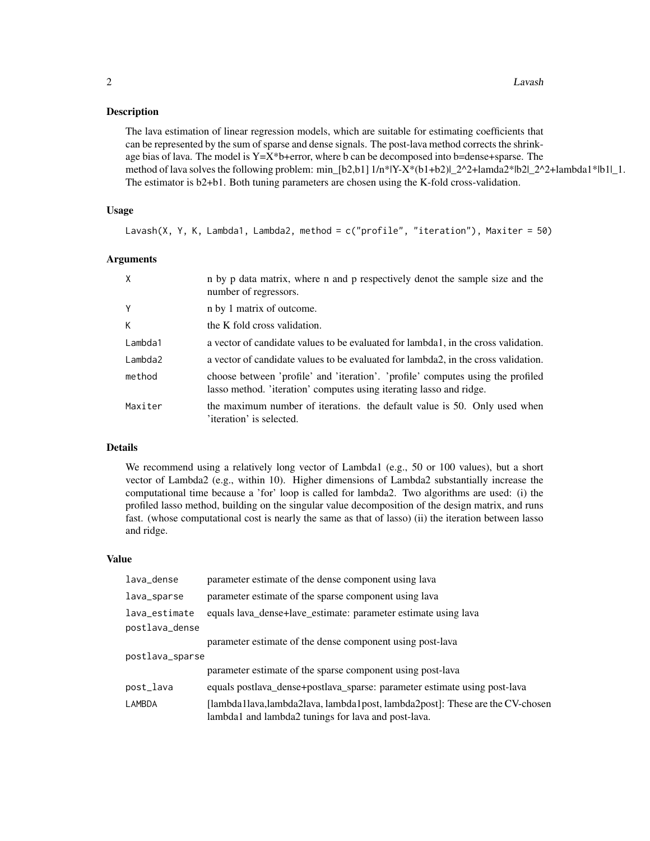#### Description

The lava estimation of linear regression models, which are suitable for estimating coefficients that can be represented by the sum of sparse and dense signals. The post-lava method corrects the shrinkage bias of lava. The model is  $Y=X^*b$ +error, where b can be decomposed into b=dense+sparse. The method of lava solves the following problem: min\_[b2,b1]  $1/n*[Y-X*(b1+b2)]$ \_2^2+lamda2\*|b2|\_2^2+lambda1\*|b1|\_1. The estimator is b2+b1. Both tuning parameters are chosen using the K-fold cross-validation.

#### Usage

Lavash(X, Y, K, Lambda1, Lambda2, method = c("profile", "iteration"), Maxiter = 50)

#### Arguments

| $\mathsf{X}$ | n by p data matrix, where n and p respectively denot the sample size and the<br>number of regressors.                                                  |
|--------------|--------------------------------------------------------------------------------------------------------------------------------------------------------|
| Y            | n by 1 matrix of outcome.                                                                                                                              |
| К            | the K fold cross validation.                                                                                                                           |
| Lambda1      | a vector of candidate values to be evaluated for lambda1, in the cross validation.                                                                     |
| Lambda2      | a vector of candidate values to be evaluated for lambda2, in the cross validation.                                                                     |
| method       | choose between 'profile' and 'iteration'. 'profile' computes using the profiled<br>lasso method. 'iteration' computes using iterating lasso and ridge. |
| Maxiter      | the maximum number of iterations. the default value is 50. Only used when<br>'iteration' is selected.                                                  |

#### Details

We recommend using a relatively long vector of Lambda1 (e.g., 50 or 100 values), but a short vector of Lambda2 (e.g., within 10). Higher dimensions of Lambda2 substantially increase the computational time because a 'for' loop is called for lambda2. Two algorithms are used: (i) the profiled lasso method, building on the singular value decomposition of the design matrix, and runs fast. (whose computational cost is nearly the same as that of lasso) (ii) the iteration between lasso and ridge.

#### Value

| lava_dense                      | parameter estimate of the dense component using lava                                                                                |
|---------------------------------|-------------------------------------------------------------------------------------------------------------------------------------|
| lava_sparse                     | parameter estimate of the sparse component using lava                                                                               |
| lava_estimate<br>postlava_dense | equals lava_dense+lave_estimate: parameter estimate using lava                                                                      |
|                                 | parameter estimate of the dense component using post-lava                                                                           |
| postlava_sparse                 |                                                                                                                                     |
|                                 | parameter estimate of the sparse component using post-lava                                                                          |
| post_lava                       | equals postlava_dense+postlava_sparse: parameter estimate using post-lava                                                           |
| LAMBDA                          | [lambda1lava,lambda2lava, lambda1post, lambda2post]: These are the CV-chosen<br>lambda1 and lambda2 tunings for lava and post-lava. |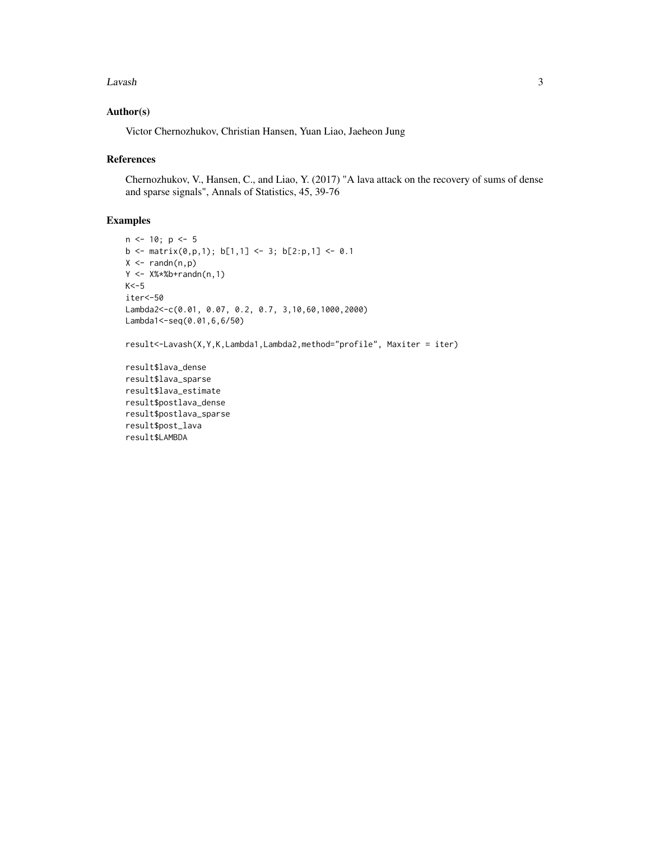#### Lavash 3

#### Author(s)

Victor Chernozhukov, Christian Hansen, Yuan Liao, Jaeheon Jung

#### References

Chernozhukov, V., Hansen, C., and Liao, Y. (2017) "A lava attack on the recovery of sums of dense and sparse signals", Annals of Statistics, 45, 39-76

### Examples

```
n < -10; p < -5b \le matrix(0,p,1); b[1,1] \le 3; b[2:p,1] \le 0.1X \leftarrow \text{randn}(n, p)Y \le -X\%* \#b + \text{randn}(n, 1)K < -5iter<-50
Lambda2<-c(0.01, 0.07, 0.2, 0.7, 3,10,60,1000,2000)
Lambda1<-seq(0.01,6,6/50)
```

```
result<-Lavash(X,Y,K,Lambda1,Lambda2,method="profile", Maxiter = iter)
```

```
result$lava_dense
result$lava_sparse
result$lava_estimate
result$postlava_dense
result$postlava_sparse
result$post_lava
result$LAMBDA
```